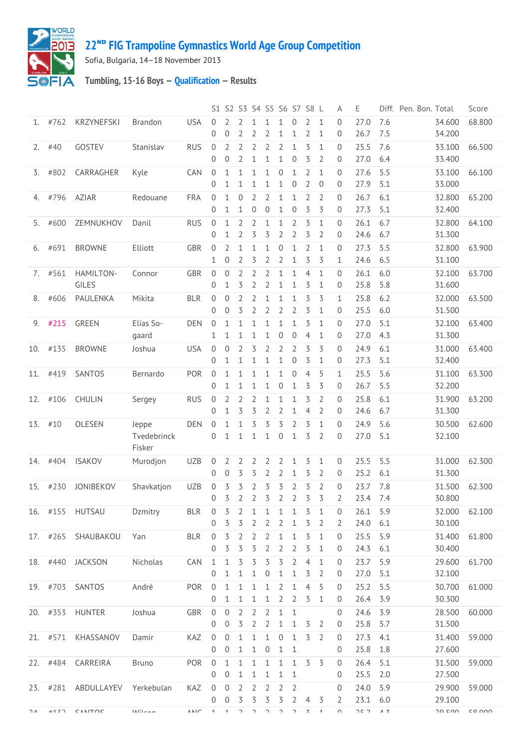

## **ᴺᴰ [FIG Trampoline Gymnastics World Age Group Competition](http://192.168.1.7:9001/event)**

Sofia, Bulgaria, 14–18 November 2013

## **Tumbling, 15-16 Boys — [Qualification](http://192.168.1.7:9001/stage/25) — Results**

|          |      |                                |                                |             |                              | S1 S2 S3 S4 S5 S6 S7 S8 L      |                                |                                  |                                  |                                  |                                  |                                  |                                | Α                        | Ε            |            | Diff. Pen. Bon. Total |                  | Score               |
|----------|------|--------------------------------|--------------------------------|-------------|------------------------------|--------------------------------|--------------------------------|----------------------------------|----------------------------------|----------------------------------|----------------------------------|----------------------------------|--------------------------------|--------------------------|--------------|------------|-----------------------|------------------|---------------------|
| 1.       | #762 | <b>KRZYNEFSKI</b>              | <b>Brandon</b>                 | <b>USA</b>  | $\Omega$<br>$\mathbf{0}$     | 0                              | 2<br>2                         | 2                                | 1<br>2                           | 1<br>1                           | 0<br>1                           | 2<br>2                           | $\mathbf{1}$<br>1              | $\Omega$<br>0            | 27.0<br>26.7 | 7.6<br>7.5 |                       | 34.600<br>34.200 | 68.800              |
| 2.       | #40  | GOSTEV                         | Stanislav                      | <b>RUS</b>  | $\mathbf 0$<br>$\mathbf{0}$  | $\overline{2}$<br>$\mathbf{0}$ | 2<br>$\overline{2}$            | $\overline{2}$<br>1              | 2<br>$\mathbf 1$                 | 2<br>1                           | $\mathbf{1}$<br>$\boldsymbol{0}$ | 3<br>3                           | 1<br>2                         | 0<br>0                   | 25.5<br>27.0 | 7.6<br>6.4 |                       | 33.100<br>33.400 | 66.500              |
| 3.       | #802 | CARRAGHER                      | Kyle                           | CAN         | $\mathbf 0$<br>$\mathbf{0}$  | 1<br>1                         | $\mathbf{1}$<br>1              | $\mathbf{1}$<br>1                | $\mathbf 1$<br>1                 | $\boldsymbol{0}$<br>1            | $\mathbf{1}$<br>0                | $\overline{2}$<br>$\overline{2}$ | $\mathbf{1}$<br>$\overline{0}$ | 0<br>$\mathbf{0}$        | 27.6<br>27.9 | 5.5<br>5.1 |                       | 33.100<br>33.000 | 66.100              |
| 4.       | #796 | AZIAR                          | Redouane                       | <b>FRA</b>  | $\mathbf{0}$                 | 1                              | $\overline{0}$                 | $\overline{2}$                   | 2                                | $\mathbf{1}$                     | $\mathbf{1}$                     | $\overline{2}$                   | $\overline{2}$                 | $\mathbf{0}$             | 26.7         | 6.1        |                       | 32.800           | 65.200              |
|          |      |                                |                                |             | $\mathbf{0}$                 | 1                              | $\mathbf{1}$                   | $\boldsymbol{0}$                 | $\boldsymbol{0}$                 | $\mathbf{1}$                     | $\boldsymbol{0}$                 | 3                                | 3                              | $\mathbf 0$              | 27.3         | 5.1        |                       | 32.400           |                     |
| 5.       | #600 | ZEMNUKHOV                      | Danil                          | <b>RUS</b>  | $\mathbf{0}$<br>0            | 1<br>1                         | $\overline{2}$<br>2            | $\overline{2}$<br>3              | 1<br>3                           | $\mathbf{1}$<br>2                | $\overline{2}$<br>$\overline{2}$ | 3<br>3                           | $\mathbf{1}$<br>2              | 0<br>0                   | 26.1<br>24.6 | 6.7<br>6.7 |                       | 32.800<br>31.300 | 64.100              |
| 6.       | #691 | <b>BROWNE</b>                  | Elliott                        | GBR         | $\mathbf{0}$<br>1            | 2<br>$\overline{0}$            | 1<br>2                         | 1<br>3                           | 1<br>2                           | 0<br>2                           | 1<br>$\mathbf{1}$                | 2<br>3                           | 1<br>3                         | 0<br>1                   | 27.3<br>24.6 | 5.5<br>6.5 |                       | 32.800<br>31.100 | 63.900              |
| 7.       | #561 | HAMILTON-<br>GILES             | Connor                         | GBR         | $\mathbf{0}$<br>$\mathbf{0}$ | $\overline{0}$<br>1            | $\overline{2}$<br>3            | $\overline{2}$<br>$\overline{2}$ | $\overline{2}$<br>$\overline{2}$ | $\mathbf{1}$<br>$\mathbf 1$      | $\mathbf{1}$<br>1                | $\overline{4}$<br>3              | $\mathbf{1}$<br>1              | $\Omega$<br>0            | 26.1<br>25.8 | 6.0<br>5.8 |                       | 32.100<br>31.600 | 63.700              |
| 8.       | #606 | PAULENKA                       | Mikita                         | <b>BLR</b>  | $\mathbf{0}$                 | 0                              | $\overline{2}$                 | $\overline{2}$                   | 1                                | 1                                | $\mathbf 1$                      | 3                                | 3                              | 1                        | 25.8         | 6.2        |                       | 32.000           | 63.500              |
|          |      |                                |                                |             | $\mathbf{0}$                 | 0                              | 3                              | 2                                | $\overline{2}$                   | $\overline{2}$                   | $\overline{2}$                   | 3                                | 1                              | 0                        | 25.5         | 6.0        |                       | 31.500           |                     |
| 9.       | #215 | <b>GREEN</b>                   | Elias So-<br>gaard             | <b>DEN</b>  | $\mathbf 0$<br>1             | 1<br>1                         | $\mathbf{1}$<br>$\mathbf{1}$   | 1<br>1                           | $\mathbf{1}$<br>$\mathbf 1$      | $\mathbf{1}$<br>$\boldsymbol{0}$ | 1<br>$\mathbf 0$                 | 3<br>4                           | 1<br>1                         | $\Omega$<br>0            | 27.0<br>27.0 | 5.1<br>4.3 |                       | 32.100<br>31.300 | 63.400              |
| 10.      | #135 | <b>BROWNE</b>                  | Joshua                         | <b>USA</b>  | $\mathbf 0$<br>$\mathbf{0}$  | 0<br>1                         | $\overline{2}$<br>1            | 3<br>1                           | 2<br>1                           | 2<br>1                           | 2<br>$\mathbf 0$                 | 3<br>3                           | 3<br>$\mathbf 1$               | 0<br>0                   | 24.9<br>27.3 | 6.1<br>5.1 |                       | 31.000<br>32.400 | 63.400              |
| 11.      | #419 | SANTOS                         | Bernardo                       | POR         | $\mathbf 0$                  | 1                              | $\mathbf{1}$                   | 1                                | 1                                | $\mathbf{1}$                     | 0                                | $\overline{4}$                   | 5                              | 1                        | 25.5         | 5.6        |                       | 31.100           | 63.300              |
|          |      |                                |                                |             | $\Omega$                     | 1                              | 1                              | 1                                | 1                                | 0                                | 1                                | 3                                | 3                              | $\mathbf{0}$             | 26.7         | 5.5        |                       | 32.200           |                     |
| 12.      | #106 | CHULIN                         | Sergey                         | <b>RUS</b>  | $\mathbf{0}$                 | $\overline{2}$                 | $\overline{2}$                 | 2                                | $\mathbf{1}$                     | $\mathbf{1}$                     | $\mathbf{1}$                     | 3                                | $\overline{2}$                 | $\Omega$                 | 25.8         | 6.1        |                       | 31.900           | 63.200              |
|          |      |                                |                                |             | $\mathbf{0}$                 | 1                              | 3                              | 3                                | 2                                | 2                                | 1                                | 4                                | 2                              | 0                        | 24.6         | 6.7        |                       | 31.300           |                     |
| 13.      | #10  | OLESEN                         | Jeppe<br>Tvedebrinck<br>Fisker | <b>DEN</b>  | 0<br>$\mathbf{0}$            | 1<br>1                         | $\mathbf{1}$<br>$\mathbf{1}$   | 3<br>$\mathbf{1}$                | 3<br>1                           | 3<br>$\mathbf 0$                 | 2<br>$\mathbf{1}$                | 3<br>3                           | 1<br>$\overline{2}$            | $\Omega$<br>$\mathbf{0}$ | 24.9<br>27.0 | 5.6<br>5.1 |                       | 30.500<br>32.100 | 62.600              |
| 14.      | #404 | <b>ISAKOV</b>                  | Murodjon                       | <b>UZB</b>  | 0<br>$\mathbf{0}$            | 2<br>0                         | 2<br>3                         | 2<br>3                           | 2<br>2                           | 2<br>2                           | 1<br>$\mathbf 1$                 | 3<br>3                           | 1<br>$\overline{2}$            | 0<br>0                   | 25.5<br>25.2 | 5.5<br>6.1 |                       | 31.000<br>31.300 | 62.300              |
| 15.      | #230 | JONIBEKOV                      | Shavkatjon                     | <b>UZB</b>  | $\mathbf 0$                  | 3                              | 3                              | $\overline{2}$                   | 3                                | 3                                | 2                                | 3                                | $\overline{2}$                 | $\overline{0}$           | 23.7         | 7.8        |                       | 31.500           | 62.300              |
|          |      |                                |                                |             | $\mathbf{0}$                 | 3                              | 2                              | 2                                | 3                                | 2                                | 2                                | 3                                | 3                              | 2                        | 23.4         | 7.4        |                       | 30.800           |                     |
|          |      | 16. #155 HUTSAU                | Dzmitry                        | <b>BLR</b>  | $\overline{0}$               | 3                              | 2                              | 1                                | 1                                | 1                                | 1                                | 3                                | 1                              | 0                        | 26.1         | 5.9        |                       | 32.000 62.100    |                     |
|          |      |                                |                                |             | 0                            | 3                              | 3                              | 2                                | 2                                | 2                                | 1                                | 3                                | 2                              | 2                        | 24.0         | 6.1        |                       | 30.100           |                     |
|          |      | 17. #265 SHAUBAKOU             | Yan                            | <b>BLR</b>  | $\overline{0}$               | 3                              | $\overline{2}$                 | $\overline{2}$                   | 2                                | 1                                | 1                                | 3                                | $\mathbf{1}$                   | 0                        | 25.5         | 5.9        |                       | 31.400           | 61.800              |
|          |      |                                |                                |             | 0                            | 3                              | $\overline{5}$                 | 3                                | $\overline{2}$                   | 2                                | $\overline{2}$                   | 3                                | 1                              | 0                        | 24.3         | 6.1        |                       | 30.400           |                     |
|          |      | 18. #440 JACKSON               | Nicholas                       | CAN         | $\mathbf{1}$                 | $\mathbf{1}$                   | 3                              | 3                                | 3                                | 3                                | $\overline{2}$                   | $\overline{4}$                   | $\mathbf{1}$                   | 0                        | 23.7         | 5.9        |                       | 29.600           | 61.700              |
|          |      |                                |                                |             | $\mathbf{0}$                 | 1                              | 1                              | 1                                | 0                                | 1                                | 1                                | 3                                | 2                              | 0                        | 27.0         | 5.1        |                       | 32.100           |                     |
|          |      | 19. #703 SANTOS                | André                          | POR         | $\overline{0}$               | 1                              | 1                              | 1                                | 1                                | 2                                | $\mathbf{1}$                     | 4                                | 5                              | 0                        | 25.2         | 5.5        |                       | 30.700           | 61.000              |
|          |      |                                |                                |             | 0                            | 1<br>$\overline{0}$            | $\mathbf{1}$<br>$\overline{2}$ | $\mathbf{1}$<br>$\overline{2}$   | $\mathbf{1}$                     | $\overline{2}$                   | 2                                | 3                                | 1                              | 0                        | 26.4         | 3.9        |                       | 30.300           |                     |
|          |      | 20. #353 HUNTER                | Joshua                         | GBR         | $\overline{0}$<br>0          | 0                              | 3                              | $\overline{2}$                   | 2<br>$\overline{2}$              | $\mathbf{1}$<br>1                | $\mathbf{1}$<br>1                | 3                                | 2                              | 0<br>0                   | 24.6<br>25.8 | 3.9<br>5.7 |                       | 28.500<br>31.500 | 60.000              |
|          |      | 21. #571 KHASSANOV             | Damir                          | KAZ         | $\overline{0}$               | 0                              | 1                              | $\mathbf{1}$                     | 1                                | $\overline{0}$                   | 1                                | 3                                | 2                              | 0                        | 27.3         | 4.1        |                       | 31.400           | 59.000              |
|          |      |                                |                                |             | $\overline{0}$               | 0                              | $\mathbf{1}$                   | $\mathbf 1$                      | $\overline{0}$                   | 1                                | $\mathbf 1$                      |                                  |                                | 0                        | 25.8         | 1.8        |                       | 27.600           |                     |
|          |      | 22. #484 CARREIRA              | <b>Bruno</b>                   | POR         | $\overline{0}$               | 1                              | $\mathbf{1}$                   | $\mathbf{1}$                     | $\mathbf{1}$                     | $\mathbf{1}$                     | $\mathbf{1}$                     | 3                                | 3                              | 0                        | 26.4         | 5.1        |                       | 31.500           | 59.000              |
|          |      |                                |                                |             | 0                            | $\overline{0}$                 | $\mathbf{1}$                   | $\mathbf{1}$                     | 1                                | 1                                | $\mathbf{1}$                     |                                  |                                | 0                        | 25.5         | 2.0        |                       | 27.500           |                     |
|          |      | 23. #281 ABDULLAYEV Yerkebulan |                                | KAZ         | $\mathbf 0$                  | $\overline{0}$                 | $\overline{2}$                 | $\overline{2}$                   | $\overline{2}$                   | 2                                | 2                                |                                  |                                | 0                        | 24.0         | 5.9        |                       | 29.900           | 59.000              |
|          |      |                                |                                |             | $\overline{0}$               | 0                              | 3                              | 3                                | 3                                | 3                                | $\overline{2}$                   | $\overline{4}$                   | 3                              | 2                        | 23.1         | 6.0        |                       | 29.100           |                     |
| $\neg A$ | 4177 | CANITOC                        | $MII - - -$                    | $A$ $h$ $h$ | $\overline{1}$               | $\overline{A}$                 | C.                             | $\mathcal{L}$                    | $\lnot$                          | $\gamma$                         | $\lnot$                          | $\overline{ }$                   | $\overline{4}$                 | $\cap$                   | ר חר         | $A$ 7      |                       | חח חר            | $\Gamma$ 0 $\Omega$ |